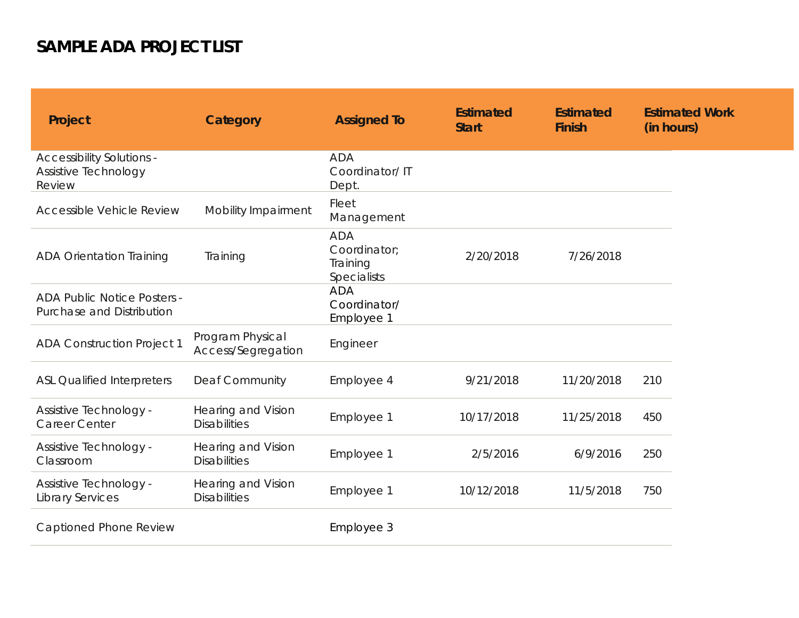## **SAMPLE ADA PROJECT LIST**

| Project                                                            | Category                                         | <b>Assigned To</b>                                    | <b>Estimated</b><br><b>Start</b> | <b>Estimated</b><br><b>Finish</b> | <b>Estimated Work</b><br>(in hours) |
|--------------------------------------------------------------------|--------------------------------------------------|-------------------------------------------------------|----------------------------------|-----------------------------------|-------------------------------------|
| <b>Accessibility Solutions -</b><br>Assistive Technology<br>Review |                                                  | <b>ADA</b><br>Coordinator/IT<br>Dept.                 |                                  |                                   |                                     |
| <b>Accessible Vehicle Review</b>                                   | Mobility Impairment                              | Fleet<br>Management                                   |                                  |                                   |                                     |
| <b>ADA Orientation Training</b>                                    | Training                                         | <b>ADA</b><br>Coordinator:<br>Training<br>Specialists | 2/20/2018                        | 7/26/2018                         |                                     |
| <b>ADA Public Notice Posters -</b><br>Purchase and Distribution    |                                                  | <b>ADA</b><br>Coordinator/<br>Employee 1              |                                  |                                   |                                     |
| <b>ADA Construction Project 1</b>                                  | Program Physical<br>Access/Segregation           | Engineer                                              |                                  |                                   |                                     |
| <b>ASL Qualified Interpreters</b>                                  | <b>Deaf Community</b>                            | Employee 4                                            | 9/21/2018                        | 11/20/2018                        | 210                                 |
| <b>Assistive Technology -</b><br><b>Career Center</b>              | <b>Hearing and Vision</b><br><b>Disabilities</b> | Employee 1                                            | 10/17/2018                       | 11/25/2018                        | 450                                 |
| <b>Assistive Technology -</b><br>Classroom                         | Hearing and Vision<br><b>Disabilities</b>        | Employee 1                                            | 2/5/2016                         | 6/9/2016                          | 250                                 |
| Assistive Technology -<br><b>Library Services</b>                  | <b>Hearing and Vision</b><br><b>Disabilities</b> | Employee 1                                            | 10/12/2018                       | 11/5/2018                         | 750                                 |
| Captioned Phone Review                                             |                                                  | Employee 3                                            |                                  |                                   |                                     |